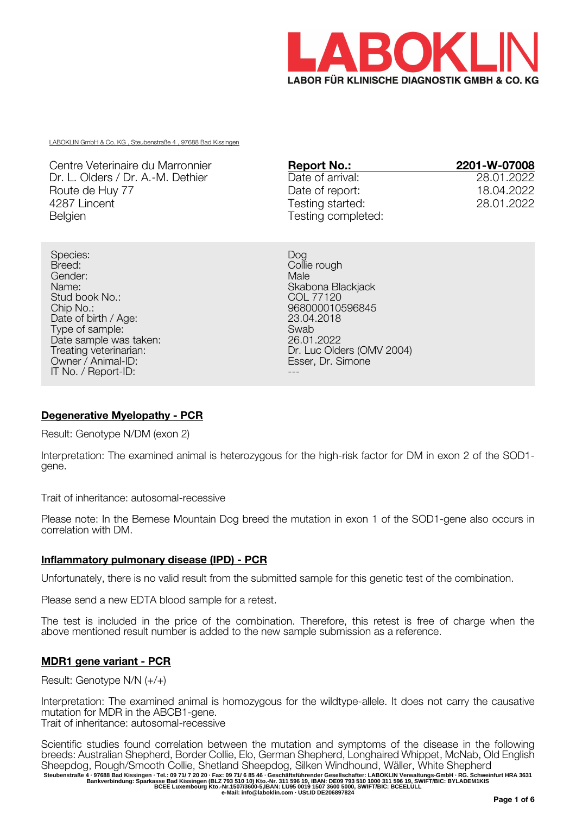

LABOKLIN GmbH & Co. KG , Steubenstraße 4 , 97688 Bad Kissingen

Centre Veterinaire du Marronnier Dr. L. Olders / Dr. A.-M. Dethier Route de Huy 77 4287 Lincent Belgien

| <b>Report No.:</b> | 2201-W-07008 |
|--------------------|--------------|
| Date of arrival:   | 28.01.2022   |
| Date of report:    | 18.04.2022   |
| Testing started:   | 28.01.2022   |
| Testing completed: |              |

Species: Breed: Collie rough Gender: Male Name: Skabona Blackjack Stud book No.:<br>Chip No.: Date of birth / Age: 23.04<br>23.04 Type of sample: 2018 Type of sample: Swab Date sample was taken: Treating veterinarian:<br>Owner / Animal-ID: IT No. / Report-ID:

968000010596845<br>23.04.2018 Dr. Luc Olders (OMV 2004)<br>Esser. Dr. Simone

# **Degenerative Myelopathy - PCR**

Result: Genotype N/DM (exon 2)

Interpretation: The examined animal is heterozygous for the high-risk factor for DM in exon 2 of the SOD1 gene.

Trait of inheritance: autosomal-recessive

Please note: In the Bernese Mountain Dog breed the mutation in exon 1 of the SOD1-gene also occurs in correlation with DM.

## **Inflammatory pulmonary disease (IPD) - PCR**

Unfortunately, there is no valid result from the submitted sample for this genetic test of the combination.

Please send a new EDTA blood sample for a retest.

The test is included in the price of the combination. Therefore, this retest is free of charge when the above mentioned result number is added to the new sample submission as a reference.

## **MDR1 gene variant - PCR**

Result: Genotype N/N (+/+)

Interpretation: The examined animal is homozygous for the wildtype-allele. It does not carry the causative mutation for MDR in the ABCB1-gene. Trait of inheritance: autosomal-recessive

Scientific studies found correlation between the mutation and symptoms of the disease in the following breeds: Australian Shepherd, Border Collie, Elo, German Shepherd, Longhaired Whippet, McNab, Old English Sheepdog, Rough/Smooth Collie, Shetland Sheepdog, Silken Windhound, Wäller, White Shepherd Steubenstraße 4 · 97688 Bad Kissingen · Tel.: 09 71/ 7 20 20 · Fax: 09 71/ 6 85 46 · Geschäftsführender Gesellschafter: LABOKLIN Verwaltungs-GmbH · RG. Schweinfurt HRA 3631<br>Bankverbindung: Sparkasse Bad Kissingen (BLZ 793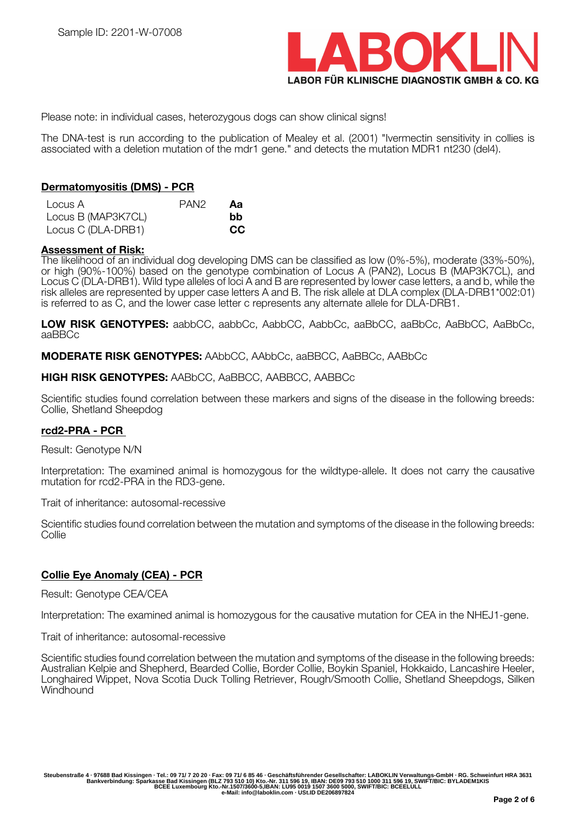

Please note: in individual cases, heterozygous dogs can show clinical signs!

The DNA-test is run according to the publication of Mealey et al. (2001) "Ivermectin sensitivity in collies is associated with a deletion mutation of the mdr1 gene." and detects the mutation MDR1 nt230 (del4).

#### **Dermatomyositis (DMS) - PCR**

| Locus A            | PAN <sub>2</sub> | Аа  |
|--------------------|------------------|-----|
| Locus B (MAP3K7CL) |                  | bb. |
| Locus C (DLA-DRB1) |                  | CC  |

## **Assessment of Risk:**

The likelihood of an individual dog developing DMS can be classified as low (0%-5%), moderate (33%-50%), or high (90%-100%) based on the genotype combination of Locus A (PAN2), Locus B (MAP3K7CL), and Locus C (DLA-DRB1). Wild type alleles of loci A and B are represented by lower case letters, a and b, while the risk alleles are represented by upper case letters A and B. The risk allele at DLA complex (DLA-DRB1\*002:01) is referred to as C, and the lower case letter c represents any alternate allele for DLA-DRB1.

**LOW RISK GENOTYPES:** aabbCC, aabbCc, AabbCC, AabbCc, aaBbCC, aaBbCc, AaBbCC, AaBbCc, aaBBCc

**MODERATE RISK GENOTYPES:** AAbbCC, AAbbCc, aaBBCC, AaBBCc, AABbCc

#### **HIGH RISK GENOTYPES:** AABbCC, AaBBCC, AABBCC, AABBCc

Scientific studies found correlation between these markers and signs of the disease in the following breeds: Collie, Shetland Sheepdog

### **rcd2-PRA - PCR**

Result: Genotype N/N

Interpretation: The examined animal is homozygous for the wildtype-allele. It does not carry the causative mutation for rcd2-PRA in the RD3-gene.

Trait of inheritance: autosomal-recessive

Scientific studies found correlation between the mutation and symptoms of the disease in the following breeds: **Collie** 

### **Collie Eye Anomaly (CEA) - PCR**

Result: Genotype CEA/CEA

Interpretation: The examined animal is homozygous for the causative mutation for CEA in the NHEJ1-gene.

Trait of inheritance: autosomal-recessive

Scientific studies found correlation between the mutation and symptoms of the disease in the following breeds: Australian Kelpie and Shepherd, Bearded Collie, Border Collie, Boykin Spaniel, Hokkaido, Lancashire Heeler, Longhaired Wippet, Nova Scotia Duck Tolling Retriever, Rough/Smooth Collie, Shetland Sheepdogs, Silken **Windhound**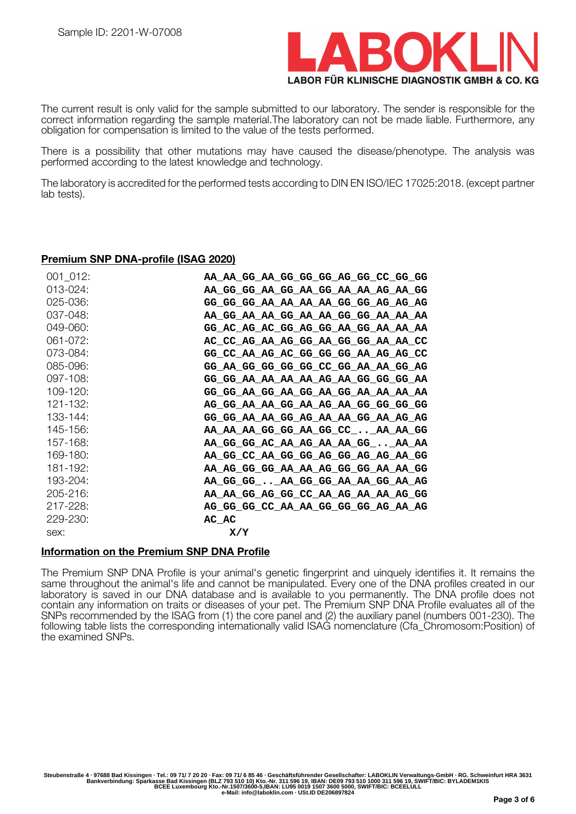

The current result is only valid for the sample submitted to our laboratory. The sender is responsible for the correct information regarding the sample material.The laboratory can not be made liable. Furthermore, any obligation for compensation is limited to the value of the tests performed.

There is a possibility that other mutations may have caused the disease/phenotype. The analysis was performed according to the latest knowledge and technology.

The laboratory is accredited for the performed tests according to DIN EN ISO/IEC 17025:2018. (except partner lab tests).

#### **Premium SNP DNA-profile (ISAG 2020)**

| 001 012:      | AA AA GG AA GG GG GG AG GG CC GG GG |
|---------------|-------------------------------------|
| $013 - 024$ : | AA_GG_GG_AA_GG_AA_GG_AA_AA_AG_AA_GG |
| 025-036:      | GG GG GG AA AA AA AA GG GG AG AG AG |
| 037-048:      | AA GG AA AA GG AA AA GG GG AA AA AA |
| 049-060:      | GG_AC_AG_AC_GG_AG_GG_AA_GG_AA_AA_AA |
| $061 - 072$ : | AC CC AG AA AG GG AA GG GG AA AA CC |
| 073-084:      | GG CC AA AG AC GG GG GG AA AG AG CC |
| 085-096:      | GG AA GG GG GG GG CC GG AA AA GG AG |
| 097-108:      | GG_GG_AA_AA_AA_AA_AG_AA_GG_GG_GG_AA |
| 109-120:      | GG_GG_AA_GG_AA_GG_AA_GG_AA_AA_AA_AA |
| $121 - 132$ : | AG GG AA AA GG AA AG AA GG GG GG GG |
| 133-144:      | GG_GG_AA_AA_GG_AG_AA_AA_GG_AA_AG_AG |
| 145-156:      | AA_AA_AA_GG_GG_AA_GG_CC__AA_AA_GG   |
| 157-168:      | AA_GG_GG_AC_AA_AG_AA_AA_GG__AA_AA   |
| 169-180:      | AA_GG_CC_AA_GG_GG_AG_GG_AG_AG_AA_GG |
| 181-192:      | AA AG GG GG AA AA AG GG GG AA AA GG |
| 193-204:      | AA_GG_GG__AA_GG_GG_AA_AA_GG_AA_AG   |
| 205-216:      | AA AA GG AG GG CC AA AG AA AA AG GG |
| 217-228:      | AG GG GG CC AA AA GG GG GG AG AA AG |
| 229-230:      | AC AC                               |
| sex:          | X/Y                                 |

### **Information on the Premium SNP DNA Profile**

The Premium SNP DNA Profile is your animal's genetic fingerprint and uinquely identifies it. It remains the same throughout the animal's life and cannot be manipulated. Every one of the DNA profiles created in our laboratory is saved in our DNA database and is available to you permanently. The DNA profile does not contain any information on traits or diseases of your pet. The Premium SNP DNA Profile evaluates all of the SNPs recommended by the ISAG from (1) the core panel and (2) the auxiliary panel (numbers 001-230). The following table lists the corresponding internationally valid ISAG nomenclature (Cfa\_Chromosom:Position) of the examined SNPs.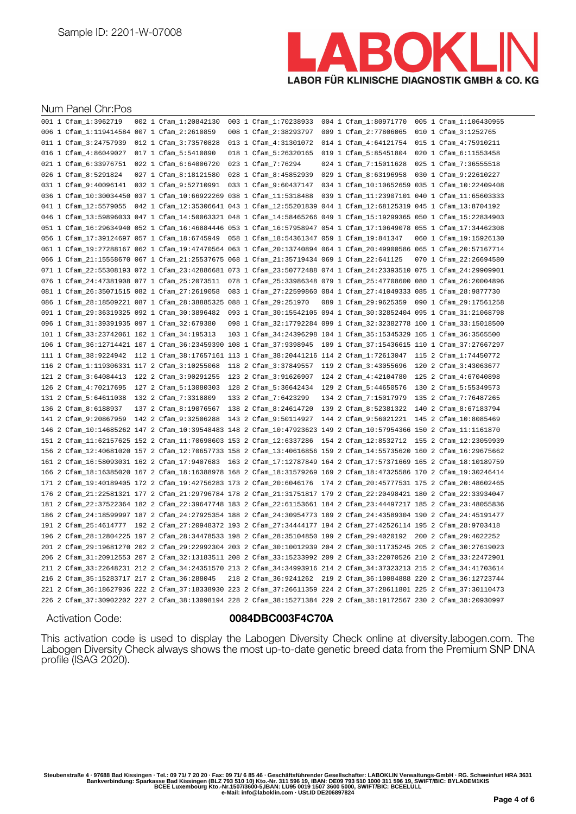

#### Num Panel Chr:Pos

|  | 001 1 Cfam_1:3962719                         | 002 1 Cfam_1:20842130                                                                                              |  | 003 1 Cfam_1:70238933                       |  | 004 1 Cfam_1:80971770                                                   |  | 005 1 Cfam_1:106430955 |
|--|----------------------------------------------|--------------------------------------------------------------------------------------------------------------------|--|---------------------------------------------|--|-------------------------------------------------------------------------|--|------------------------|
|  | 006 1 Cfam 1:119414584 007 1 Cfam 2:2610859  |                                                                                                                    |  | 008 1 Cfam_2:38293797                       |  | 009 1 Cfam 2:77806065                                                   |  | 010 1 Cfam_3:1252765   |
|  | 011 1 Cfam_3:24757939                        | 012 1 Cfam_3:73570828                                                                                              |  | 013 1 Cfam_4:31301072 014 1 Cfam_4:64121754 |  |                                                                         |  | 015 1 Cfam_4:75910211  |
|  | 016 1 Cfam_4:86049027                        | 017 1 Cfam_5:5410890                                                                                               |  | 018 1 Cfam_5:26320165                       |  | 019 1 Cfam_5:85451804                                                   |  | 020 1 Cfam_6:11553458  |
|  | 021 1 Cfam_6:33976751                        | 022 1 Cfam_6:64006720                                                                                              |  | 023 1 Cfam_7:76294                          |  | 024 1 Cfam_7:15011628                                                   |  | 025 1 Cfam_7:36555518  |
|  | 026 1 Cfam_8:5291824                         | 027 1 Cfam_8:18121580                                                                                              |  | 028 1 Cfam_8:45852939                       |  | 029 1 Cfam_8:63196958 030 1 Cfam_9:22610227                             |  |                        |
|  | 031 1 Cfam_9:40096141 032 1 Cfam_9:52710991  |                                                                                                                    |  | 033 1 Cfam_9:60437147                       |  | 034 1 Cfam_10:10652659 035 1 Cfam_10:22409408                           |  |                        |
|  |                                              | 036 1 Cfam_10:30034450 037 1 Cfam_10:66922269 038 1 Cfam_11:5318488                                                |  |                                             |  | 039 1 Cfam_11:23907101 040 1 Cfam_11:65603333                           |  |                        |
|  |                                              | 041 1 Cfam_12:5579055 042 1 Cfam_12:35306641 043 1 Cfam_12:55201839 044 1 Cfam_12:68125319 045 1 Cfam_13:8704192   |  |                                             |  |                                                                         |  |                        |
|  |                                              | 046 1 Cfam_13:59896033 047 1 Cfam_14:50063321 048 1 Cfam_14:58465266 049 1 Cfam_15:19299365 050 1 Cfam_15:22834903 |  |                                             |  |                                                                         |  |                        |
|  |                                              | 051 1 Cfam_16:29634940 052 1 Cfam_16:46884446 053 1 Cfam_16:57958947 054 1 Cfam_17:10649078 055 1 Cfam_17:34462308 |  |                                             |  |                                                                         |  |                        |
|  |                                              | 056 1 Cfam_17:39124697 057 1 Cfam_18:6745949 058 1 Cfam_18:54361347 059 1 Cfam_19:841347                           |  |                                             |  |                                                                         |  | 060 1 Cfam_19:15926130 |
|  |                                              | 061 1 Cfam_19:27288167 062 1 Cfam_19:47470564 063 1 Cfam_20:13740894 064 1 Cfam_20:49900586 065 1 Cfam_20:57167714 |  |                                             |  |                                                                         |  |                        |
|  |                                              | 066 1 Cfam_21:15558670 067 1 Cfam_21:25537675 068 1 Cfam_21:35719434 069 1 Cfam_22:641125                          |  |                                             |  |                                                                         |  | 070 1 Cfam_22:26694580 |
|  |                                              | 071 1 Cfam_22:55308193 072 1 Cfam_23:42886681 073 1 Cfam_23:50772488 074 1 Cfam_24:23393510 075 1 Cfam_24:29909901 |  |                                             |  |                                                                         |  |                        |
|  |                                              | 076 1 Cfam_24:47381908 077 1 Cfam_25:2073511 078 1 Cfam_25:33986348 079 1 Cfam_25:47708600 080 1 Cfam_26:20004896  |  |                                             |  |                                                                         |  |                        |
|  |                                              | 081 1 Cfam_26:35071515 082 1 Cfam_27:2619058 083 1 Cfam_27:22599860 084 1 Cfam_27:41049333 085 1 Cfam_28:9877730   |  |                                             |  |                                                                         |  |                        |
|  |                                              | 086 1 Cfam_28:18509221 087 1 Cfam_28:38885325 088 1 Cfam_29:251970                                                 |  |                                             |  | 089 1 Cfam_29:9625359 090 1 Cfam_29:17561258                            |  |                        |
|  | 091 1 Cfam_29:36319325 092 1 Cfam_30:3896482 |                                                                                                                    |  |                                             |  | 093 1 Cfam_30:15542105 094 1 Cfam_30:32852404 095 1 Cfam_31:21068798    |  |                        |
|  | 096 1 Cfam_31:39391935 097 1 Cfam_32:679380  |                                                                                                                    |  |                                             |  | 098 1 Cfam_32:17792284 099 1 Cfam_32:32382778 100 1 Cfam_33:15018500    |  |                        |
|  | 101 1 Cfam_33:23742061 102 1 Cfam_34:195313  |                                                                                                                    |  |                                             |  | 103 1 Cfam_34:24396298 104 1 Cfam_35:15345329 105 1 Cfam_36:3565500     |  |                        |
|  |                                              | 106 1 Cfam_36:12714421 107 1 Cfam_36:23459390 108 1 Cfam_37:9398945 109 1 Cfam_37:15436615 110 1 Cfam_37:27667297  |  |                                             |  |                                                                         |  |                        |
|  |                                              | 111 1 Cfam_38:9224942 112 1 Cfam_38:17657161 113 1 Cfam_38:20441216 114 2 Cfam_1:72613047 115 2 Cfam_1:74450772    |  |                                             |  |                                                                         |  |                        |
|  | 116 2 Cfam_1:119306331 117 2 Cfam_3:10255068 |                                                                                                                    |  |                                             |  | 118  2 Cfam_3:37849557  119  2 Cfam_3:43055696  120  2 Cfam_3:43063677  |  |                        |
|  |                                              |                                                                                                                    |  |                                             |  |                                                                         |  |                        |
|  | 121 2 Cfam_3:64084413 122 2 Cfam_3:90291255  |                                                                                                                    |  |                                             |  | 123 2 Cfam_3:91626907  124 2 Cfam_4:42104780  125 2 Cfam_4:67040898     |  |                        |
|  | 126 2 Cfam_4:70217695 127 2 Cfam_5:13080303  |                                                                                                                    |  |                                             |  | 128 2 Cfam_5:36642434    129 2 Cfam_5:44650576    130 2 Cfam_5:55349573 |  |                        |
|  | 131 2 Cfam_5:64611038  132  2 Cfam_7:3318809 |                                                                                                                    |  | 133 2 Cfam 7:6423299                        |  | 134 2 Cfam_7:15017979 135 2 Cfam_7:76487265                             |  |                        |
|  | 136 2 Cfam_8:6188937                         | 137 2 Cfam_8:19076567                                                                                              |  | 138 2 Cfam_8:24614720                       |  | 139 2 Cfam_8:52381322 140 2 Cfam_8:67183794                             |  |                        |
|  |                                              | 141 2 Cfam_9:20867959 142 2 Cfam_9:32506288 143 2 Cfam_9:50114927 144 2 Cfam_9:56021221 145 2 Cfam_10:8085469      |  |                                             |  |                                                                         |  |                        |
|  |                                              | 146 2 Cfam_10:14685262 147 2 Cfam_10:39548483 148 2 Cfam_10:47923623 149 2 Cfam_10:57954366 150 2 Cfam_11:1161870  |  |                                             |  |                                                                         |  |                        |
|  |                                              | 151 2 Cfam_11:62157625 152 2 Cfam_11:70698603 153 2 Cfam_12:6337286 154 2 Cfam_12:8532712 155 2 Cfam_12:23059939   |  |                                             |  |                                                                         |  |                        |
|  |                                              | 156 2 Cfam_12:40681020 157 2 Cfam_12:70657733 158 2 Cfam_13:40616856 159 2 Cfam_14:55735620 160 2 Cfam_16:29675662 |  |                                             |  |                                                                         |  |                        |
|  |                                              | 161 2 Cfam_16:58093031 162 2 Cfam_17:9407683 163 2 Cfam_17:12787849 164 2 Cfam_17:57371669 165 2 Cfam_18:10189759  |  |                                             |  |                                                                         |  |                        |
|  |                                              | 166 2 Cfam_18:16385020 167 2 Cfam_18:16388978 168 2 Cfam_18:31579269 169 2 Cfam_18:47325586 170 2 Cfam_19:30246414 |  |                                             |  |                                                                         |  |                        |
|  |                                              | 171 2 Cfam_19:40189405 172 2 Cfam_19:42756283 173 2 Cfam_20:6046176 174 2 Cfam_20:45777531 175 2 Cfam_20:48602465  |  |                                             |  |                                                                         |  |                        |
|  |                                              | 176 2 Cfam_21:22581321 177 2 Cfam_21:29796784 178 2 Cfam_21:31751817 179 2 Cfam_22:20498421 180 2 Cfam_22:33934047 |  |                                             |  |                                                                         |  |                        |
|  |                                              | 181 2 Cfam_22:37522364 182 2 Cfam_22:39647748 183 2 Cfam_22:61153661 184 2 Cfam_23:44497217 185 2 Cfam_23:48055836 |  |                                             |  |                                                                         |  |                        |
|  |                                              | 186 2 Cfam_24:18599997 187 2 Cfam_24:27925354 188 2 Cfam_24:30954773 189 2 Cfam_24:43589304 190 2 Cfam_24:45191477 |  |                                             |  |                                                                         |  |                        |
|  |                                              | 191 2 Cfam_25:4614777 192 2 Cfam_27:20948372 193 2 Cfam_27:34444177 194 2 Cfam_27:42526114 195 2 Cfam_28:9703418   |  |                                             |  |                                                                         |  |                        |
|  |                                              | 196 2 Cfam_28:12804225 197 2 Cfam_28:34478533 198 2 Cfam_28:35104850 199 2 Cfam_29:4020192 200 2 Cfam_29:4022252   |  |                                             |  |                                                                         |  |                        |
|  |                                              | 201 2 Cfam_29:19681270 202 2 Cfam_29:22992304 203 2 Cfam_30:10012939 204 2 Cfam_30:11735245 205 2 Cfam_30:27619023 |  |                                             |  |                                                                         |  |                        |
|  |                                              | 206 2 Cfam_31:20912553 207 2 Cfam_32:13183511 208 2 Cfam_33:15233992 209 2 Cfam_33:22070526 210 2 Cfam_33:22472901 |  |                                             |  |                                                                         |  |                        |
|  |                                              | 211 2 Cfam_33:22648231 212 2 Cfam_34:24351570 213 2 Cfam_34:34993916 214 2 Cfam_34:37323213 215 2 Cfam_34:41703614 |  |                                             |  |                                                                         |  |                        |
|  | 216 2 Cfam_35:15283717 217 2 Cfam_36:288045  |                                                                                                                    |  |                                             |  | 218 2 Cfam_36:9241262 219 2 Cfam_36:10084888 220 2 Cfam_36:12723744     |  |                        |
|  |                                              | 221 2 Cfam_36:18627936 222 2 Cfam_37:18338930 223 2 Cfam_37:26611359 224 2 Cfam_37:28611801 225 2 Cfam_37:30110473 |  |                                             |  |                                                                         |  |                        |

## Activation Code: **0084DBC003F4C70A**

This activation code is used to display the Labogen Diversity Check online at diversity.labogen.com. The Labogen Diversity Check always shows the most up-to-date genetic breed data from the Premium SNP DNA profile (ISAG 2020).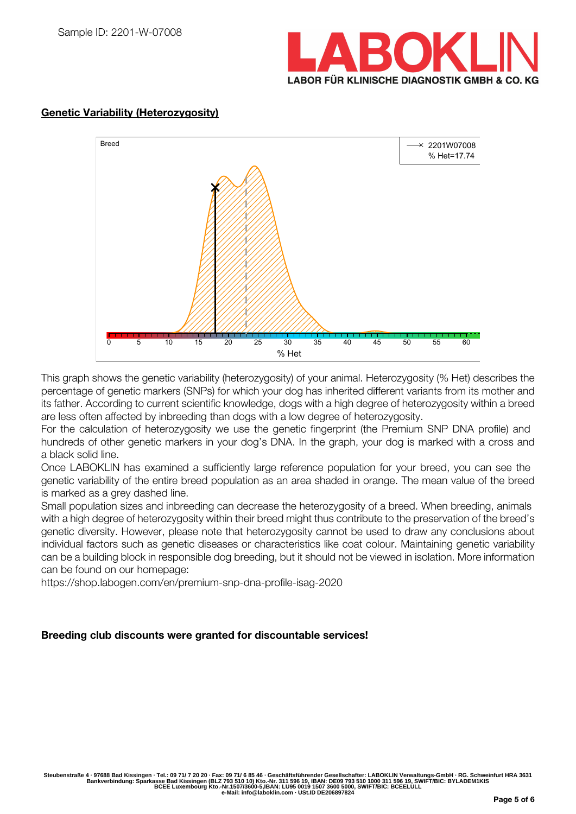



# **Genetic Variability (Heterozygosity)**

This graph shows the genetic variability (heterozygosity) of your animal. Heterozygosity (% Het) describes the percentage of genetic markers (SNPs) for which your dog has inherited different variants from its mother and its father. According to current scientific knowledge, dogs with a high degree of heterozygosity within a breed are less often affected by inbreeding than dogs with a low degree of heterozygosity.

For the calculation of heterozygosity we use the genetic fingerprint (the Premium SNP DNA profile) and hundreds of other genetic markers in your dog's DNA. In the graph, your dog is marked with a cross and a black solid line.

Once LABOKLIN has examined a sufficiently large reference population for your breed, you can see the genetic variability of the entire breed population as an area shaded in orange. The mean value of the breed is marked as a grey dashed line.

Small population sizes and inbreeding can decrease the heterozygosity of a breed. When breeding, animals with a high degree of heterozygosity within their breed might thus contribute to the preservation of the breed's genetic diversity. However, please note that heterozygosity cannot be used to draw any conclusions about individual factors such as genetic diseases or characteristics like coat colour. Maintaining genetic variability can be a building block in responsible dog breeding, but it should not be viewed in isolation. More information can be found on our homepage:

https://shop.labogen.com/en/premium-snp-dna-profile-isag-2020

## **Breeding club discounts were granted for discountable services!**